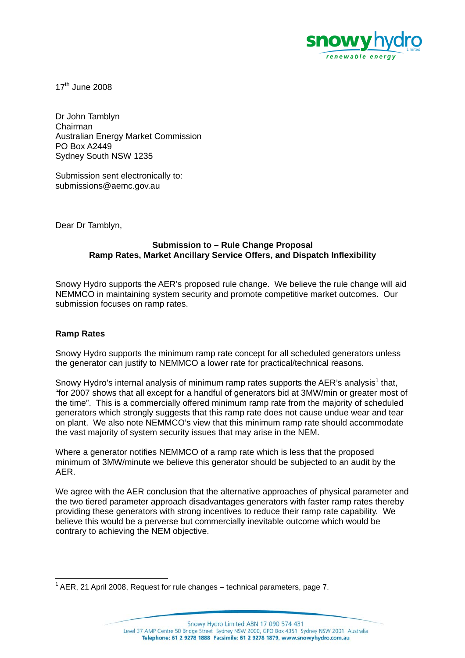

 $17<sup>th</sup>$  June 2008

Dr John Tamblyn Chairman Australian Energy Market Commission PO Box A2449 Sydney South NSW 1235

Submission sent electronically to: submissions@aemc.gov.au

Dear Dr Tamblyn,

## **Submission to – Rule Change Proposal Ramp Rates, Market Ancillary Service Offers, and Dispatch Inflexibility**

Snowy Hydro supports the AER's proposed rule change. We believe the rule change will aid NEMMCO in maintaining system security and promote competitive market outcomes. Our submission focuses on ramp rates.

## **Ramp Rates**

l

Snowy Hydro supports the minimum ramp rate concept for all scheduled generators unless the generator can justify to NEMMCO a lower rate for practical/technical reasons.

Snowy Hydro's internal analysis of minimum ramp rates supports the AER's analysis<sup>1</sup> that, "for 2007 shows that all except for a handful of generators bid at 3MW/min or greater most of the time". This is a commercially offered minimum ramp rate from the majority of scheduled generators which strongly suggests that this ramp rate does not cause undue wear and tear on plant. We also note NEMMCO's view that this minimum ramp rate should accommodate the vast majority of system security issues that may arise in the NEM.

Where a generator notifies NEMMCO of a ramp rate which is less that the proposed minimum of 3MW/minute we believe this generator should be subjected to an audit by the AER.

We agree with the AER conclusion that the alternative approaches of physical parameter and the two tiered parameter approach disadvantages generators with faster ramp rates thereby providing these generators with strong incentives to reduce their ramp rate capability. We believe this would be a perverse but commercially inevitable outcome which would be contrary to achieving the NEM objective.

 $1$  AER, 21 April 2008, Request for rule changes – technical parameters, page 7.